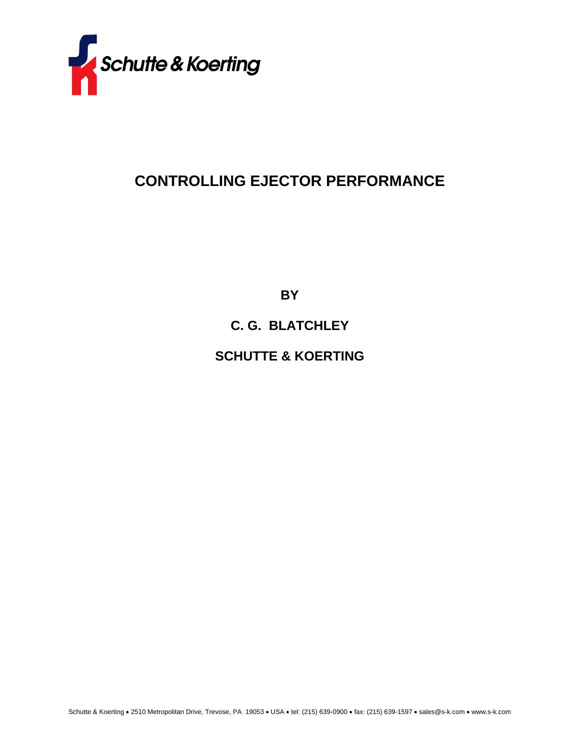

## **CONTROLLING EJECTOR PERFORMANCE**

**BY** 

## **C. G. BLATCHLEY**

## **SCHUTTE & KOERTING**

Schutte & Koerting • 2510 Metropolitan Drive, Trevose, PA 19053 • USA • tel: (215) 639-0900 • fax: (215) 639-1597 • sales@s-k.com • www.s-k.com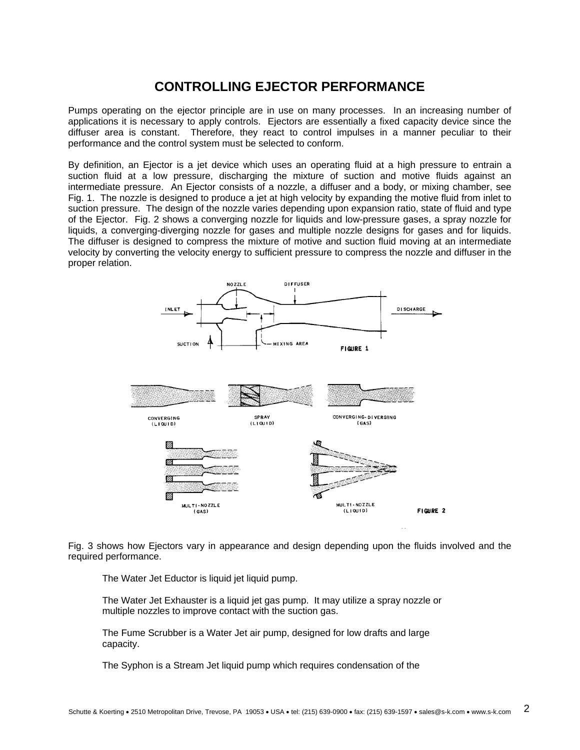## **CONTROLLING EJECTOR PERFORMANCE**

Pumps operating on the ejector principle are in use on many processes. In an increasing number of applications it is necessary to apply controls. Ejectors are essentially a fixed capacity device since the diffuser area is constant. Therefore, they react to control impulses in a manner peculiar to their performance and the control system must be selected to conform.

By definition, an Ejector is a jet device which uses an operating fluid at a high pressure to entrain a suction fluid at a low pressure, discharging the mixture of suction and motive fluids against an intermediate pressure. An Ejector consists of a nozzle, a diffuser and a body, or mixing chamber, see Fig. 1. The nozzle is designed to produce a jet at high velocity by expanding the motive fluid from inlet to suction pressure. The design of the nozzle varies depending upon expansion ratio, state of fluid and type of the Ejector. Fig. 2 shows a converging nozzle for liquids and low-pressure gases, a spray nozzle for liquids, a converging-diverging nozzle for gases and multiple nozzle designs for gases and for liquids. The diffuser is designed to compress the mixture of motive and suction fluid moving at an intermediate velocity by converting the velocity energy to sufficient pressure to compress the nozzle and diffuser in the proper relation.



Fig. 3 shows how Ejectors vary in appearance and design depending upon the fluids involved and the required performance.

The Water Jet Eductor is liquid jet liquid pump.

The Water Jet Exhauster is a liquid jet gas pump. It may utilize a spray nozzle or multiple nozzles to improve contact with the suction gas.

The Fume Scrubber is a Water Jet air pump, designed for low drafts and large capacity.

The Syphon is a Stream Jet liquid pump which requires condensation of the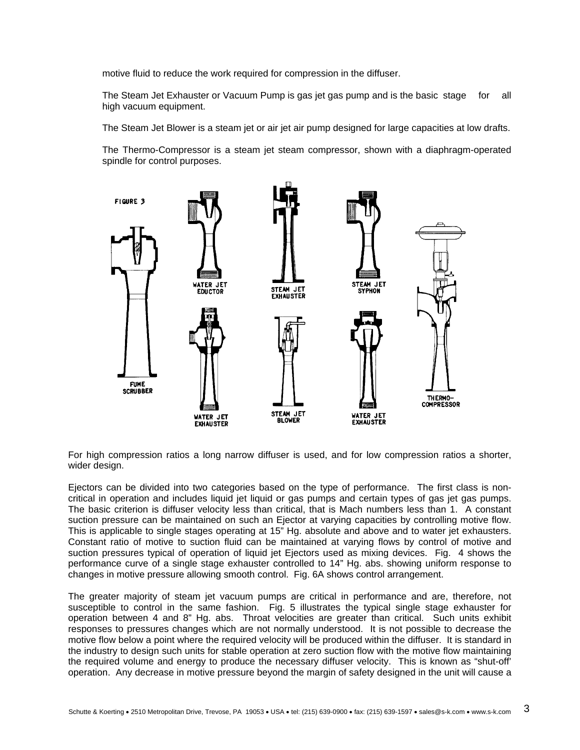motive fluid to reduce the work required for compression in the diffuser.

The Steam Jet Exhauster or Vacuum Pump is gas jet gas pump and is the basic stage for all high vacuum equipment.

The Steam Jet Blower is a steam jet or air jet air pump designed for large capacities at low drafts.

The Thermo-Compressor is a steam jet steam compressor, shown with a diaphragm-operated spindle for control purposes.



For high compression ratios a long narrow diffuser is used, and for low compression ratios a shorter, wider design.

Ejectors can be divided into two categories based on the type of performance. The first class is noncritical in operation and includes liquid jet liquid or gas pumps and certain types of gas jet gas pumps. The basic criterion is diffuser velocity less than critical, that is Mach numbers less than 1. A constant suction pressure can be maintained on such an Ejector at varying capacities by controlling motive flow. This is applicable to single stages operating at 15" Hg. absolute and above and to water jet exhausters. Constant ratio of motive to suction fluid can be maintained at varying flows by control of motive and suction pressures typical of operation of liquid jet Ejectors used as mixing devices. Fig. 4 shows the performance curve of a single stage exhauster controlled to 14" Hg. abs. showing uniform response to changes in motive pressure allowing smooth control. Fig. 6A shows control arrangement.

The greater majority of steam jet vacuum pumps are critical in performance and are, therefore, not susceptible to control in the same fashion. Fig. 5 illustrates the typical single stage exhauster for operation between 4 and 8" Hg. abs. Throat velocities are greater than critical. Such units exhibit responses to pressures changes which are not normally understood. It is not possible to decrease the motive flow below a point where the required velocity will be produced within the diffuser. It is standard in the industry to design such units for stable operation at zero suction flow with the motive flow maintaining the required volume and energy to produce the necessary diffuser velocity. This is known as "shut-off' operation. Any decrease in motive pressure beyond the margin of safety designed in the unit will cause a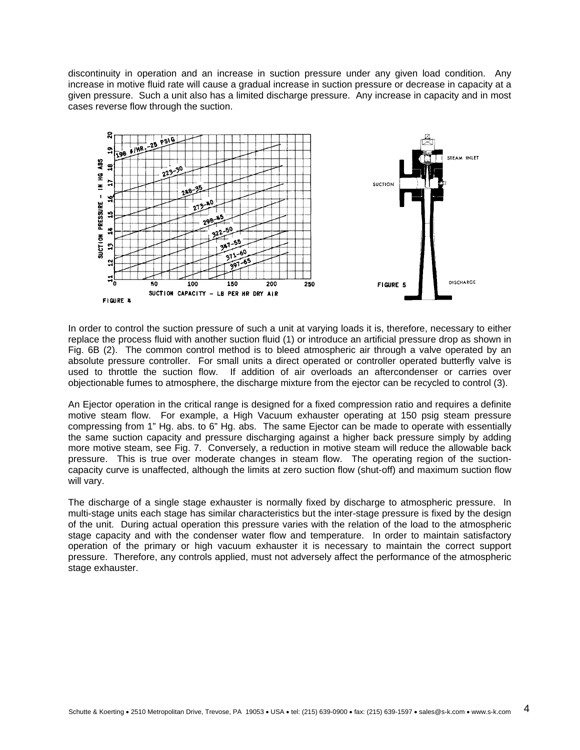discontinuity in operation and an increase in suction pressure under any given load condition. Any increase in motive fluid rate will cause a gradual increase in suction pressure or decrease in capacity at a given pressure. Such a unit also has a limited discharge pressure. Any increase in capacity and in most cases reverse flow through the suction.



In order to control the suction pressure of such a unit at varying loads it is, therefore, necessary to either replace the process fluid with another suction fluid (1) or introduce an artificial pressure drop as shown in Fig. 6B (2). The common control method is to bleed atmospheric air through a valve operated by an absolute pressure controller. For small units a direct operated or controller operated butterfly valve is used to throttle the suction flow. If addition of air overloads an aftercondenser or carries over objectionable fumes to atmosphere, the discharge mixture from the ejector can be recycled to control (3).

An Ejector operation in the critical range is designed for a fixed compression ratio and requires a definite motive steam flow. For example, a High Vacuum exhauster operating at 150 psig steam pressure compressing from 1" Hg. abs. to 6" Hg. abs. The same Ejector can be made to operate with essentially the same suction capacity and pressure discharging against a higher back pressure simply by adding more motive steam, see Fig. 7. Conversely, a reduction in motive steam will reduce the allowable back pressure. This is true over moderate changes in steam flow. The operating region of the suctioncapacity curve is unaffected, although the limits at zero suction flow (shut-off) and maximum suction flow will vary.

The discharge of a single stage exhauster is normally fixed by discharge to atmospheric pressure. In multi-stage units each stage has similar characteristics but the inter-stage pressure is fixed by the design of the unit. During actual operation this pressure varies with the relation of the load to the atmospheric stage capacity and with the condenser water flow and temperature. In order to maintain satisfactory operation of the primary or high vacuum exhauster it is necessary to maintain the correct support pressure. Therefore, any controls applied, must not adversely affect the performance of the atmospheric stage exhauster.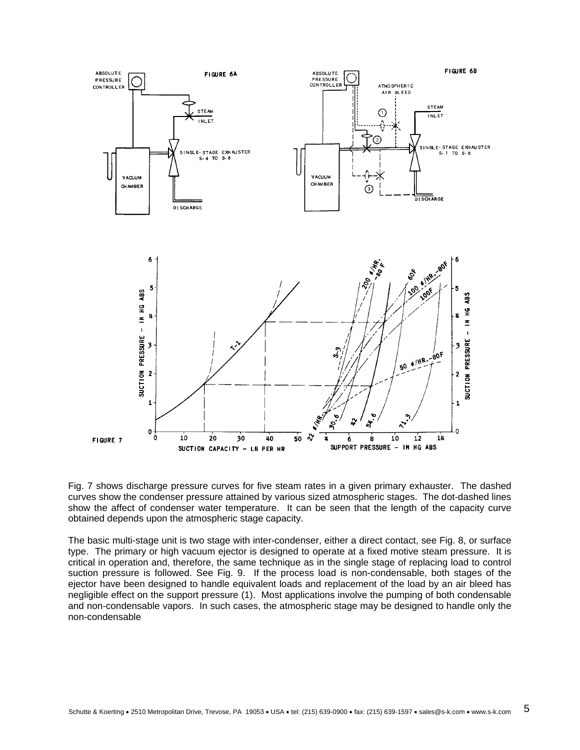

Fig. 7 shows discharge pressure curves for five steam rates in a given primary exhauster. The dashed curves show the condenser pressure attained by various sized atmospheric stages. The dot-dashed lines show the affect of condenser water temperature. It can be seen that the length of the capacity curve obtained depends upon the atmospheric stage capacity.

The basic multi-stage unit is two stage with inter-condenser, either a direct contact, see Fig. 8, or surface type. The primary or high vacuum ejector is designed to operate at a fixed motive steam pressure. It is critical in operation and, therefore, the same technique as in the single stage of replacing load to control suction pressure is followed. See Fig. 9. If the process load is non-condensable, both stages of the ejector have been designed to handle equivalent loads and replacement of the load by an air bleed has negligible effect on the support pressure (1). Most applications involve the pumping of both condensable and non-condensable vapors. In such cases, the atmospheric stage may be designed to handle only the non-condensable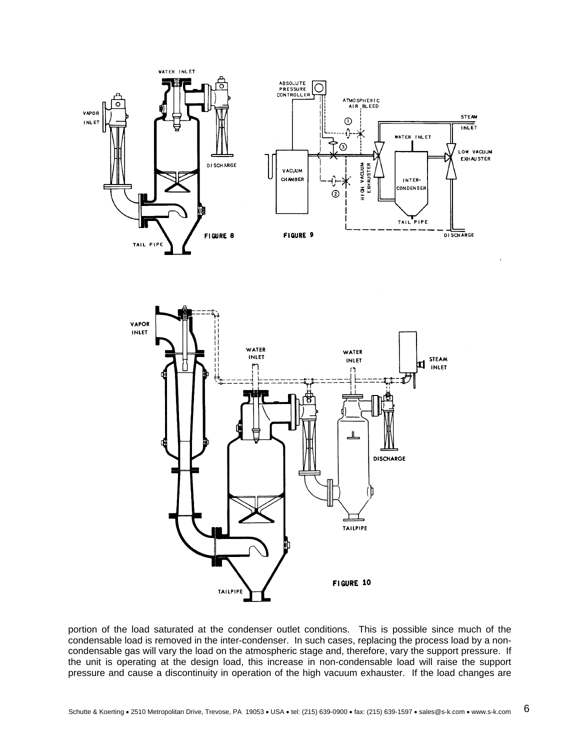



portion of the load saturated at the condenser outlet conditions. This is possible since much of the condensable load is removed in the inter-condenser. In such cases, replacing the process load by a noncondensable gas will vary the load on the atmospheric stage and, therefore, vary the support pressure. If the unit is operating at the design load, this increase in non-condensable load will raise the support pressure and cause a discontinuity in operation of the high vacuum exhauster. If the load changes are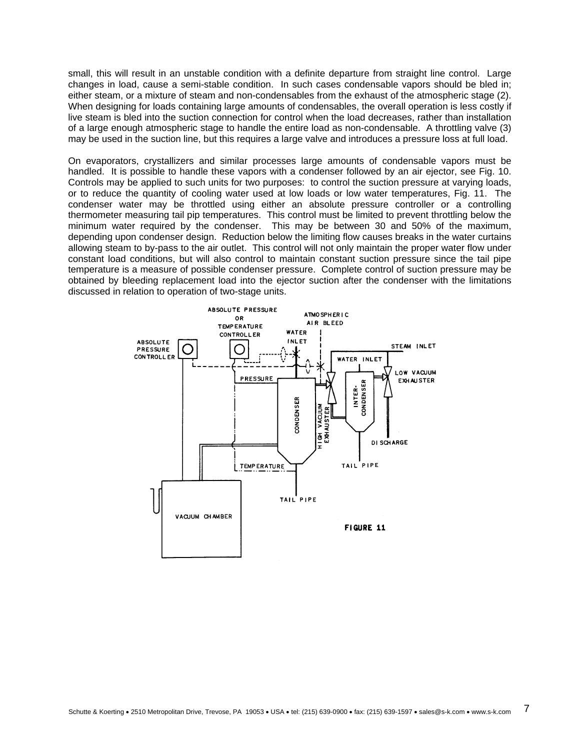small, this will result in an unstable condition with a definite departure from straight line control. Large changes in load, cause a semi-stable condition. In such cases condensable vapors should be bled in; either steam, or a mixture of steam and non-condensables from the exhaust of the atmospheric stage (2). When designing for loads containing large amounts of condensables, the overall operation is less costly if live steam is bled into the suction connection for control when the load decreases, rather than installation of a large enough atmospheric stage to handle the entire load as non-condensable. A throttling valve (3) may be used in the suction line, but this requires a large valve and introduces a pressure loss at full load.

On evaporators, crystallizers and similar processes large amounts of condensable vapors must be handled. It is possible to handle these vapors with a condenser followed by an air ejector, see Fig. 10. Controls may be applied to such units for two purposes: to control the suction pressure at varying loads, or to reduce the quantity of cooling water used at low loads or low water temperatures, Fig. 11. The condenser water may be throttled using either an absolute pressure controller or a controlling thermometer measuring tail pip temperatures. This control must be limited to prevent throttling below the minimum water required by the condenser. This may be between 30 and 50% of the maximum, depending upon condenser design. Reduction below the limiting flow causes breaks in the water curtains allowing steam to by-pass to the air outlet. This control will not only maintain the proper water flow under constant load conditions, but will also control to maintain constant suction pressure since the tail pipe temperature is a measure of possible condenser pressure. Complete control of suction pressure may be obtained by bleeding replacement load into the ejector suction after the condenser with the limitations discussed in relation to operation of two-stage units.

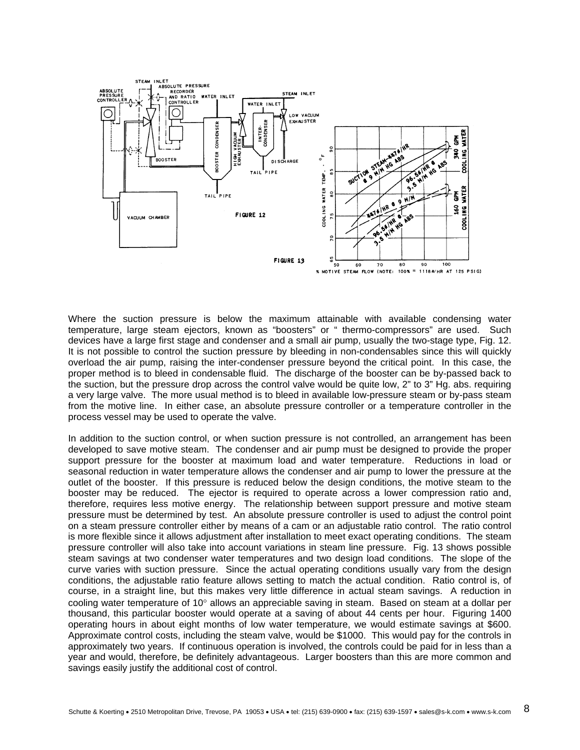

Where the suction pressure is below the maximum attainable with available condensing water temperature, large steam ejectors, known as "boosters" or " thermo-compressors" are used. Such devices have a large first stage and condenser and a small air pump, usually the two-stage type, Fig. 12. It is not possible to control the suction pressure by bleeding in non-condensables since this will quickly overload the air pump, raising the inter-condenser pressure beyond the critical point. In this case, the proper method is to bleed in condensable fluid. The discharge of the booster can be by-passed back to the suction, but the pressure drop across the control valve would be quite low, 2" to 3" Hg. abs. requiring a very large valve. The more usual method is to bleed in available low-pressure steam or by-pass steam from the motive line. In either case, an absolute pressure controller or a temperature controller in the process vessel may be used to operate the valve.

In addition to the suction control, or when suction pressure is not controlled, an arrangement has been developed to save motive steam. The condenser and air pump must be designed to provide the proper support pressure for the booster at maximum load and water temperature. Reductions in load or seasonal reduction in water temperature allows the condenser and air pump to lower the pressure at the outlet of the booster. If this pressure is reduced below the design conditions, the motive steam to the booster may be reduced. The ejector is required to operate across a lower compression ratio and, therefore, requires less motive energy. The relationship between support pressure and motive steam pressure must be determined by test. An absolute pressure controller is used to adjust the control point on a steam pressure controller either by means of a cam or an adjustable ratio control. The ratio control is more flexible since it allows adjustment after installation to meet exact operating conditions. The steam pressure controller will also take into account variations in steam line pressure. Fig. 13 shows possible steam savings at two condenser water temperatures and two design load conditions. The slope of the curve varies with suction pressure. Since the actual operating conditions usually vary from the design conditions, the adjustable ratio feature allows setting to match the actual condition. Ratio control is, of course, in a straight line, but this makes very little difference in actual steam savings. A reduction in cooling water temperature of 10° allows an appreciable saving in steam. Based on steam at a dollar per thousand, this particular booster would operate at a saving of about 44 cents per hour. Figuring 1400 operating hours in about eight months of low water temperature, we would estimate savings at \$600. Approximate control costs, including the steam valve, would be \$1000. This would pay for the controls in approximately two years. If continuous operation is involved, the controls could be paid for in less than a year and would, therefore, be definitely advantageous. Larger boosters than this are more common and savings easily justify the additional cost of control.